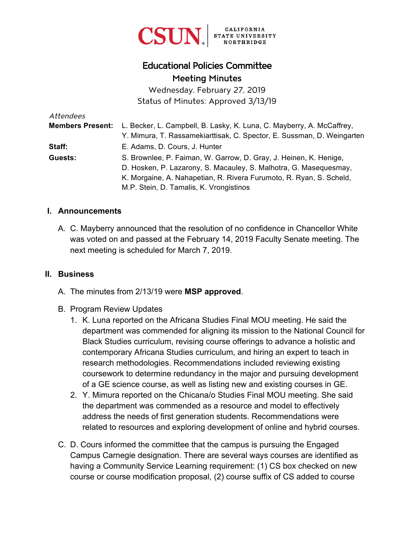

## Educational Policies Committee Meeting Minutes

Wednesday, February 27, 2019 Status of Minutes: Approved 3/13/19

| Attendees |                                                                                                                                        |
|-----------|----------------------------------------------------------------------------------------------------------------------------------------|
|           | <b>Members Present:</b> L. Becker, L. Campbell, B. Lasky, K. Luna, C. Mayberry, A. McCaffrey,                                          |
|           | Y. Mimura, T. Rassamekiarttisak, C. Spector, E. Sussman, D. Weingarten                                                                 |
| Staff:    | E. Adams, D. Cours, J. Hunter                                                                                                          |
| Guests:   | S. Brownlee, P. Faiman, W. Garrow, D. Gray, J. Heinen, K. Henige,<br>D. Hosken, P. Lazarony, S. Macauley, S. Malhotra, G. Masequesmay, |
|           | K. Morgaine, A. Nahapetian, R. Rivera Furumoto, R. Ryan, S. Scheld,                                                                    |
|           | M.P. Stein, D. Tamalis, K. Vrongistinos                                                                                                |

#### **I. Announcements**

A. C. Mayberry announced that the resolution of no confidence in Chancellor White was voted on and passed at the February 14, 2019 Faculty Senate meeting. The next meeting is scheduled for March 7, 2019.

#### **II. Business**

- A. The minutes from 2/13/19 were **MSP approved**.
- B. Program Review Updates
	- 1. K. Luna reported on the Africana Studies Final MOU meeting. He said the department was commended for aligning its mission to the National Council for Black Studies curriculum, revising course offerings to advance a holistic and contemporary Africana Studies curriculum, and hiring an expert to teach in research methodologies. Recommendations included reviewing existing coursework to determine redundancy in the major and pursuing development of a GE science course, as well as listing new and existing courses in GE.
	- 2. Y. Mimura reported on the Chicana/o Studies Final MOU meeting. She said the department was commended as a resource and model to effectively address the needs of first generation students. Recommendations were related to resources and exploring development of online and hybrid courses.
- C. D. Cours informed the committee that the campus is pursuing the Engaged Campus Carnegie designation. There are several ways courses are identified as having a Community Service Learning requirement: (1) CS box checked on new course or course modification proposal, (2) course suffix of CS added to course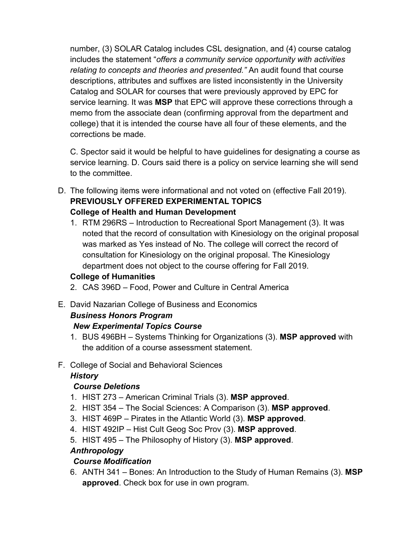number, (3) SOLAR Catalog includes CSL designation, and (4) course catalog includes the statement "*offers a community service opportunity with activities relating to concepts and theories and presented."* An audit found that course descriptions, attributes and suffixes are listed inconsistently in the University Catalog and SOLAR for courses that were previously approved by EPC for service learning. It was **MSP** that EPC will approve these corrections through a memo from the associate dean (confirming approval from the department and college) that it is intended the course have all four of these elements, and the corrections be made.

C. Spector said it would be helpful to have guidelines for designating a course as service learning. D. Cours said there is a policy on service learning she will send to the committee.

- D. The following items were informational and not voted on (effective Fall 2019). **PREVIOUSLY OFFERED EXPERIMENTAL TOPICS College of Health and Human Development** 
	- 1. RTM 296RS Introduction to Recreational Sport Management (3). It was noted that the record of consultation with Kinesiology on the original proposal was marked as Yes instead of No. The college will correct the record of consultation for Kinesiology on the original proposal. The Kinesiology department does not object to the course offering for Fall 2019.

#### **College of Humanities**

- 2. CAS 396D Food, Power and Culture in Central America
- E. David Nazarian College of Business and Economics

# *Business Honors Program*

## *New Experimental Topics Course*

1. BUS 496BH – Systems Thinking for Organizations (3). **MSP approved** with the addition of a course assessment statement.

## F. College of Social and Behavioral Sciences

## *History*

## *Course Deletions*

- 1. HIST 273 American Criminal Trials (3). **MSP approved**.
- 2. HIST 354 The Social Sciences: A Comparison (3). **MSP approved**.
- 3. HIST 469P Pirates in the Atlantic World (3). **MSP approved**.
- 4. HIST 492IP Hist Cult Geog Soc Prov (3). **MSP approved**.
- 5. HIST 495 The Philosophy of History (3). **MSP approved**.

## *Anthropology*

## *Course Modification*

6. ANTH 341 – Bones: An Introduction to the Study of Human Remains (3). **MSP approved**. Check box for use in own program.